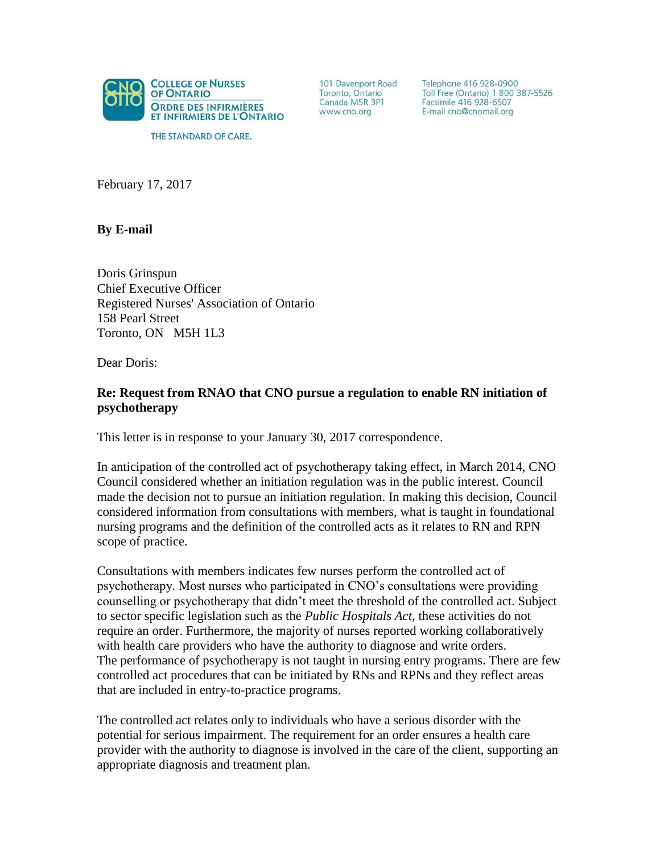

THE STANDARD OF CARE.

101 Davenport Road Toronto, Ontario Canada M5R 3P1 www.cno.org

Telephone 416 928-0900 Toll Free (Ontario) 1 800 387-5526 Facsimile 416 928-6507 E-mail cno@cnomail.org

February 17, 2017

**By E-mail**

Doris Grinspun Chief Executive Officer Registered Nurses' Association of Ontario 158 Pearl Street Toronto, ON M5H 1L3

Dear Doris:

## **Re: Request from RNAO that CNO pursue a regulation to enable RN initiation of psychotherapy**

This letter is in response to your January 30, 2017 correspondence.

In anticipation of the controlled act of psychotherapy taking effect, in March 2014, CNO Council considered whether an initiation regulation was in the public interest. Council made the decision not to pursue an initiation regulation. In making this decision, Council considered information from consultations with members, what is taught in foundational nursing programs and the definition of the controlled acts as it relates to RN and RPN scope of practice.

Consultations with members indicates few nurses perform the controlled act of psychotherapy. Most nurses who participated in CNO's consultations were providing counselling or psychotherapy that didn't meet the threshold of the controlled act. Subject to sector specific legislation such as the *Public Hospitals Act*, these activities do not require an order. Furthermore, the majority of nurses reported working collaboratively with health care providers who have the authority to diagnose and write orders. The performance of psychotherapy is not taught in nursing entry programs. There are few controlled act procedures that can be initiated by RNs and RPNs and they reflect areas that are included in entry-to-practice programs.

The controlled act relates only to individuals who have a serious disorder with the potential for serious impairment. The requirement for an order ensures a health care provider with the authority to diagnose is involved in the care of the client, supporting an appropriate diagnosis and treatment plan.